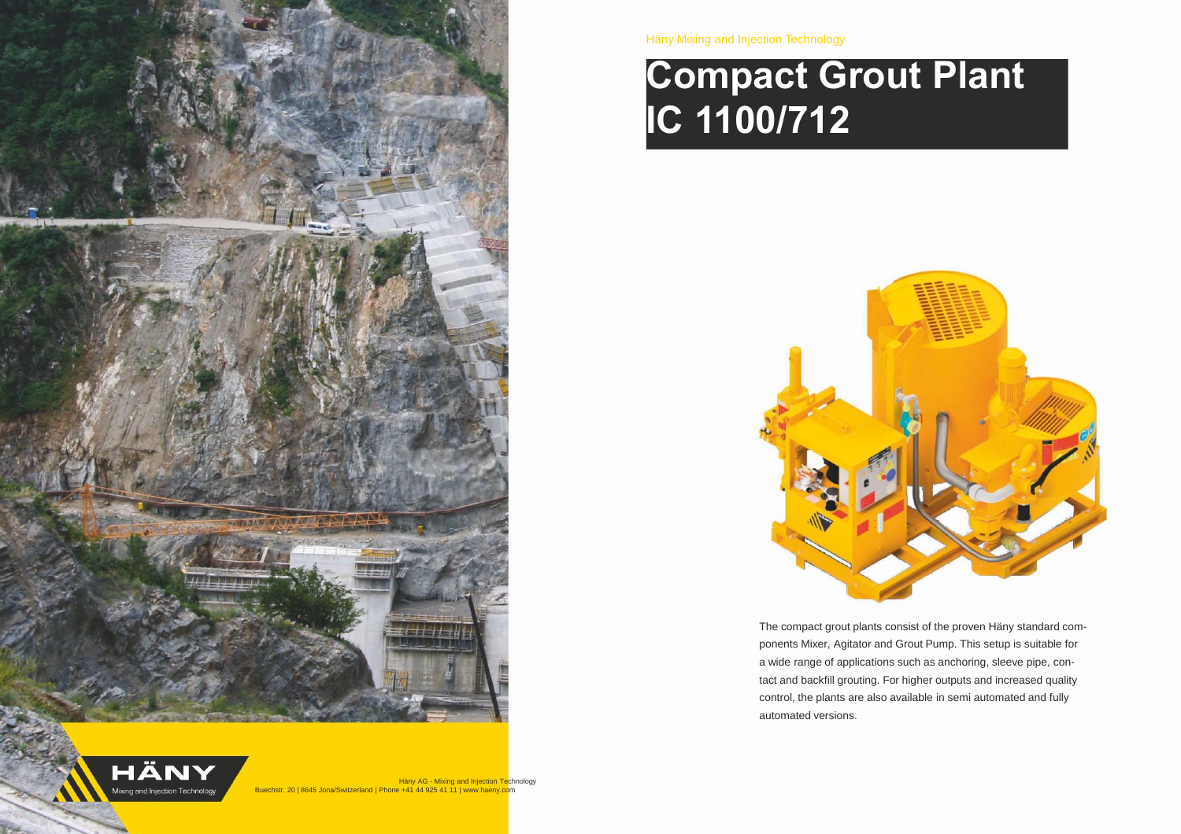

HÄNY Mixing and Injection Technology



# **Compact Grout Plant IC 1100/712**



The compact grout plants consist of the proven Häny standard components Mixer, Agitator and Grout Pump. This setup is suitable for a wide range of applications such as anchoring, sleeve pipe, contact and backfill grouting. For higher outputs and increased quality control, the plants are also available in semi automated and fully automated versions.

**Häny AG - Mixing and Injection Technology** Buechstr. 20 | 8645 Jona/Switzerland | Phone +41 44 925 41 11 | www.haeny.com